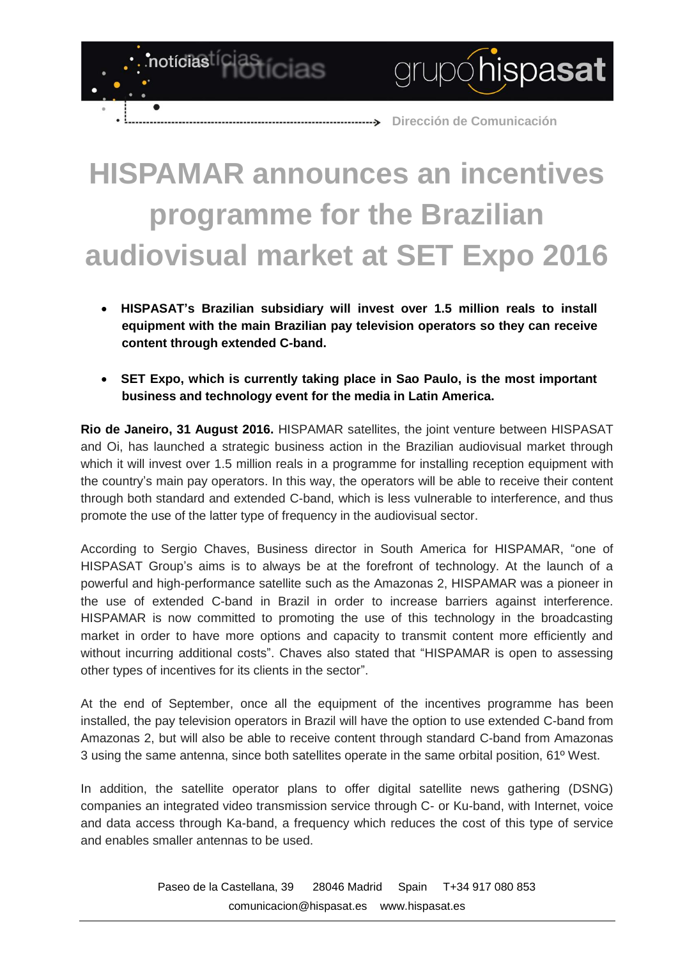**Dirección de Comunicación**

grupóhispasat

## **HISPAMAR announces an incentives programme for the Brazilian audiovisual market at SET Expo 2016**

notícias<sup>tícias</sup>tícias

- **HISPASAT's Brazilian subsidiary will invest over 1.5 million reals to install equipment with the main Brazilian pay television operators so they can receive content through extended C-band.**
- **SET Expo, which is currently taking place in Sao Paulo, is the most important business and technology event for the media in Latin America.**

**Rio de Janeiro, 31 August 2016.** HISPAMAR satellites, the joint venture between HISPASAT and Oi, has launched a strategic business action in the Brazilian audiovisual market through which it will invest over 1.5 million reals in a programme for installing reception equipment with the country's main pay operators. In this way, the operators will be able to receive their content through both standard and extended C-band, which is less vulnerable to interference, and thus promote the use of the latter type of frequency in the audiovisual sector.

According to Sergio Chaves, Business director in South America for HISPAMAR, "one of HISPASAT Group's aims is to always be at the forefront of technology. At the launch of a powerful and high-performance satellite such as the Amazonas 2, HISPAMAR was a pioneer in the use of extended C-band in Brazil in order to increase barriers against interference. HISPAMAR is now committed to promoting the use of this technology in the broadcasting market in order to have more options and capacity to transmit content more efficiently and without incurring additional costs". Chaves also stated that "HISPAMAR is open to assessing other types of incentives for its clients in the sector".

At the end of September, once all the equipment of the incentives programme has been installed, the pay television operators in Brazil will have the option to use extended C-band from Amazonas 2, but will also be able to receive content through standard C-band from Amazonas 3 using the same antenna, since both satellites operate in the same orbital position, 61º West.

In addition, the satellite operator plans to offer digital satellite news gathering (DSNG) companies an integrated video transmission service through C- or Ku-band, with Internet, voice and data access through Ka-band, a frequency which reduces the cost of this type of service and enables smaller antennas to be used.